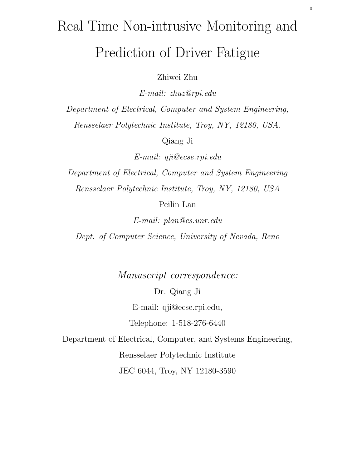# Real Time Non-intrusive Monitoring and

# Prediction of Driver Fatigue

Zhiwei Zhu

E-mail: zhuz@rpi.edu

Department of Electrical, Computer and System Engineering, Rensselaer Polytechnic Institute, Troy, NY, 12180, USA.

Qiang Ji

E-mail: qji@ecse.rpi.edu

Department of Electrical, Computer and System Engineering Rensselaer Polytechnic Institute, Troy, NY, 12180, USA

Peilin Lan

E-mail: plan@cs.unr.edu

Dept. of Computer Science, University of Nevada, Reno

Manuscript correspondence:

Dr. Qiang Ji E-mail: qji@ecse.rpi.edu,

Telephone: 1-518-276-6440

Department of Electrical, Computer, and Systems Engineering, Rensselaer Polytechnic Institute

JEC 6044, Troy, NY 12180-3590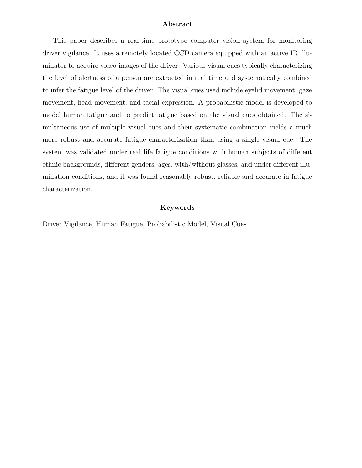## Abstract

This paper describes a real-time prototype computer vision system for monitoring driver vigilance. It uses a remotely located CCD camera equipped with an active IR illuminator to acquire video images of the driver. Various visual cues typically characterizing the level of alertness of a person are extracted in real time and systematically combined to infer the fatigue level of the driver. The visual cues used include eyelid movement, gaze movement, head movement, and facial expression. A probabilistic model is developed to model human fatigue and to predict fatigue based on the visual cues obtained. The simultaneous use of multiple visual cues and their systematic combination yields a much more robust and accurate fatigue characterization than using a single visual cue. The system was validated under real life fatigue conditions with human subjects of different ethnic backgrounds, different genders, ages, with/without glasses, and under different illumination conditions, and it was found reasonably robust, reliable and accurate in fatigue characterization.

# Keywords

Driver Vigilance, Human Fatigue, Probabilistic Model, Visual Cues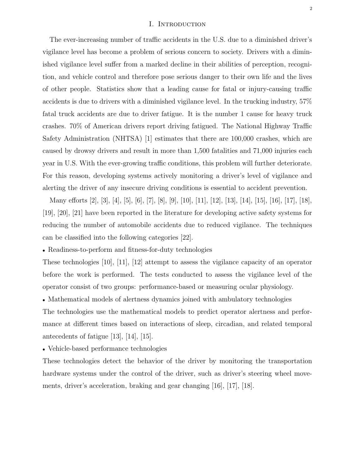#### I. Introduction

The ever-increasing number of traffic accidents in the U.S. due to a diminished driver's vigilance level has become a problem of serious concern to society. Drivers with a diminished vigilance level suffer from a marked decline in their abilities of perception, recognition, and vehicle control and therefore pose serious danger to their own life and the lives of other people. Statistics show that a leading cause for fatal or injury-causing traffic accidents is due to drivers with a diminished vigilance level. In the trucking industry, 57% fatal truck accidents are due to driver fatigue. It is the number 1 cause for heavy truck crashes. 70% of American drivers report driving fatigued. The National Highway Traffic Safety Administration (NHTSA) [1] estimates that there are 100,000 crashes, which are caused by drowsy drivers and result in more than 1,500 fatalities and 71,000 injuries each year in U.S. With the ever-growing traffic conditions, this problem will further deteriorate. For this reason, developing systems actively monitoring a driver's level of vigilance and alerting the driver of any insecure driving conditions is essential to accident prevention.

Many efforts [2], [3], [4], [5], [6], [7], [8], [9], [10], [11], [12], [13], [14], [15], [16], [17], [18], [19], [20], [21] have been reported in the literature for developing active safety systems for reducing the number of automobile accidents due to reduced vigilance. The techniques can be classified into the following categories [22].

• Readiness-to-perform and fitness-for-duty technologies

These technologies [10], [11], [12] attempt to assess the vigilance capacity of an operator before the work is performed. The tests conducted to assess the vigilance level of the operator consist of two groups: performance-based or measuring ocular physiology.

• Mathematical models of alertness dynamics joined with ambulatory technologies

The technologies use the mathematical models to predict operator alertness and performance at different times based on interactions of sleep, circadian, and related temporal antecedents of fatigue [13], [14], [15].

• Vehicle-based performance technologies

These technologies detect the behavior of the driver by monitoring the transportation hardware systems under the control of the driver, such as driver's steering wheel movements, driver's acceleration, braking and gear changing [16], [17], [18].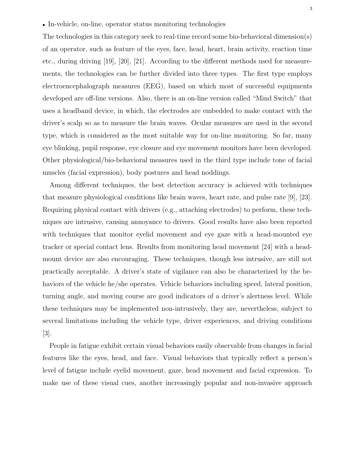The technologies in this category seek to real-time record some bio-behavioral dimension(s) of an operator, such as feature of the eyes, face, head, heart, brain activity, reaction time etc., during driving [19], [20], [21]. According to the different methods used for measurements, the technologies can be further divided into three types. The first type employs electroencephalograph measures (EEG), based on which most of successful equipments developed are off-line versions. Also, there is an on-line version called "Mind Switch" that uses a headband device, in which, the electrodes are embedded to make contact with the driver's scalp so as to measure the brain waves. Ocular measures are used in the second type, which is considered as the most suitable way for on-line monitoring. So far, many eye blinking, pupil response, eye closure and eye movement monitors have been developed. Other physiological/bio-behavioral measures used in the third type include tone of facial muscles (facial expression), body postures and head noddings.

Among different techniques, the best detection accuracy is achieved with techniques that measure physiological conditions like brain waves, heart rate, and pulse rate [9], [23]. Requiring physical contact with drivers (e.g., attaching electrodes) to perform, these techniques are intrusive, causing annoyance to drivers. Good results have also been reported with techniques that monitor eyelid movement and eye gaze with a head-mounted eye tracker or special contact lens. Results from monitoring head movement [24] with a headmount device are also encouraging. These techniques, though less intrusive, are still not practically acceptable. A driver's state of vigilance can also be characterized by the behaviors of the vehicle he/she operates. Vehicle behaviors including speed, lateral position, turning angle, and moving course are good indicators of a driver's alertness level. While these techniques may be implemented non-intrusively, they are, nevertheless, subject to several limitations including the vehicle type, driver experiences, and driving conditions [3].

People in fatigue exhibit certain visual behaviors easily observable from changes in facial features like the eyes, head, and face. Visual behaviors that typically reflect a person's level of fatigue include eyelid movement, gaze, head movement and facial expression. To make use of these visual cues, another increasingly popular and non-invasive approach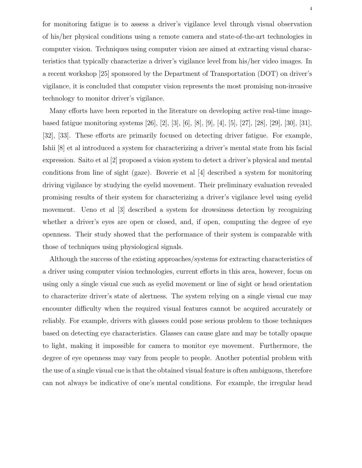for monitoring fatigue is to assess a driver's vigilance level through visual observation of his/her physical conditions using a remote camera and state-of-the-art technologies in computer vision. Techniques using computer vision are aimed at extracting visual characteristics that typically characterize a driver's vigilance level from his/her video images. In a recent workshop [25] sponsored by the Department of Transportation (DOT) on driver's vigilance, it is concluded that computer vision represents the most promising non-invasive technology to monitor driver's vigilance.

Many efforts have been reported in the literature on developing active real-time imagebased fatigue monitoring systems [26], [2], [3], [6], [8], [9], [4], [5], [27], [28], [29], [30], [31], [32], [33]. These efforts are primarily focused on detecting driver fatigue. For example, Ishii [8] et al introduced a system for characterizing a driver's mental state from his facial expression. Saito et al [2] proposed a vision system to detect a driver's physical and mental conditions from line of sight (gaze). Boverie et al [4] described a system for monitoring driving vigilance by studying the eyelid movement. Their preliminary evaluation revealed promising results of their system for characterizing a driver's vigilance level using eyelid movement. Ueno et al [3] described a system for drowsiness detection by recognizing whether a driver's eyes are open or closed, and, if open, computing the degree of eye openness. Their study showed that the performance of their system is comparable with those of techniques using physiological signals.

Although the success of the existing approaches/systems for extracting characteristics of a driver using computer vision technologies, current efforts in this area, however, focus on using only a single visual cue such as eyelid movement or line of sight or head orientation to characterize driver's state of alertness. The system relying on a single visual cue may encounter difficulty when the required visual features cannot be acquired accurately or reliably. For example, drivers with glasses could pose serious problem to those techniques based on detecting eye characteristics. Glasses can cause glare and may be totally opaque to light, making it impossible for camera to monitor eye movement. Furthermore, the degree of eye openness may vary from people to people. Another potential problem with the use of a single visual cue is that the obtained visual feature is often ambiguous, therefore can not always be indicative of one's mental conditions. For example, the irregular head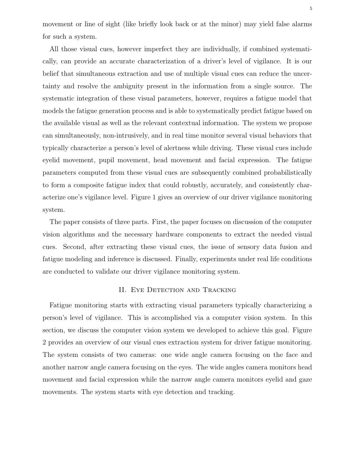movement or line of sight (like briefly look back or at the minor) may yield false alarms for such a system.

All those visual cues, however imperfect they are individually, if combined systematically, can provide an accurate characterization of a driver's level of vigilance. It is our belief that simultaneous extraction and use of multiple visual cues can reduce the uncertainty and resolve the ambiguity present in the information from a single source. The systematic integration of these visual parameters, however, requires a fatigue model that models the fatigue generation process and is able to systematically predict fatigue based on the available visual as well as the relevant contextual information. The system we propose can simultaneously, non-intrusively, and in real time monitor several visual behaviors that typically characterize a person's level of alertness while driving. These visual cues include eyelid movement, pupil movement, head movement and facial expression. The fatigue parameters computed from these visual cues are subsequently combined probabilistically to form a composite fatigue index that could robustly, accurately, and consistently characterize one's vigilance level. Figure 1 gives an overview of our driver vigilance monitoring system.

The paper consists of three parts. First, the paper focuses on discussion of the computer vision algorithms and the necessary hardware components to extract the needed visual cues. Second, after extracting these visual cues, the issue of sensory data fusion and fatigue modeling and inference is discussed. Finally, experiments under real life conditions are conducted to validate our driver vigilance monitoring system.

# II. EYE DETECTION AND TRACKING

Fatigue monitoring starts with extracting visual parameters typically characterizing a person's level of vigilance. This is accomplished via a computer vision system. In this section, we discuss the computer vision system we developed to achieve this goal. Figure 2 provides an overview of our visual cues extraction system for driver fatigue monitoring. The system consists of two cameras: one wide angle camera focusing on the face and another narrow angle camera focusing on the eyes. The wide angles camera monitors head movement and facial expression while the narrow angle camera monitors eyelid and gaze movements. The system starts with eye detection and tracking.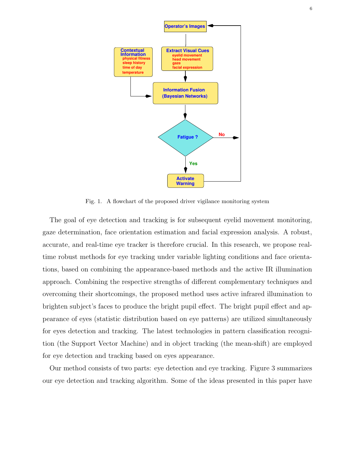

Fig. 1. A flowchart of the proposed driver vigilance monitoring system

The goal of eye detection and tracking is for subsequent eyelid movement monitoring, gaze determination, face orientation estimation and facial expression analysis. A robust, accurate, and real-time eye tracker is therefore crucial. In this research, we propose realtime robust methods for eye tracking under variable lighting conditions and face orientations, based on combining the appearance-based methods and the active IR illumination approach. Combining the respective strengths of different complementary techniques and overcoming their shortcomings, the proposed method uses active infrared illumination to brighten subject's faces to produce the bright pupil effect. The bright pupil effect and appearance of eyes (statistic distribution based on eye patterns) are utilized simultaneously for eyes detection and tracking. The latest technologies in pattern classification recognition (the Support Vector Machine) and in object tracking (the mean-shift) are employed for eye detection and tracking based on eyes appearance.

Our method consists of two parts: eye detection and eye tracking. Figure 3 summarizes our eye detection and tracking algorithm. Some of the ideas presented in this paper have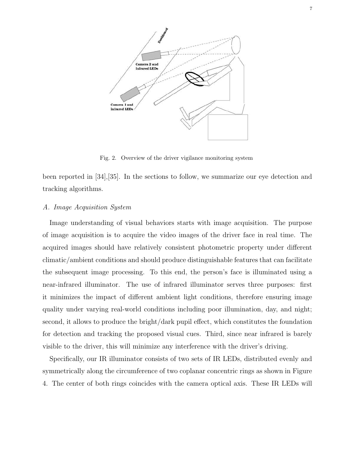

Fig. 2. Overview of the driver vigilance monitoring system

been reported in [34],[35]. In the sections to follow, we summarize our eye detection and tracking algorithms.

# A. Image Acquisition System

Image understanding of visual behaviors starts with image acquisition. The purpose of image acquisition is to acquire the video images of the driver face in real time. The acquired images should have relatively consistent photometric property under different climatic/ambient conditions and should produce distinguishable features that can facilitate the subsequent image processing. To this end, the person's face is illuminated using a near-infrared illuminator. The use of infrared illuminator serves three purposes: first it minimizes the impact of different ambient light conditions, therefore ensuring image quality under varying real-world conditions including poor illumination, day, and night; second, it allows to produce the bright/dark pupil effect, which constitutes the foundation for detection and tracking the proposed visual cues. Third, since near infrared is barely visible to the driver, this will minimize any interference with the driver's driving.

Specifically, our IR illuminator consists of two sets of IR LEDs, distributed evenly and symmetrically along the circumference of two coplanar concentric rings as shown in Figure 4. The center of both rings coincides with the camera optical axis. These IR LEDs will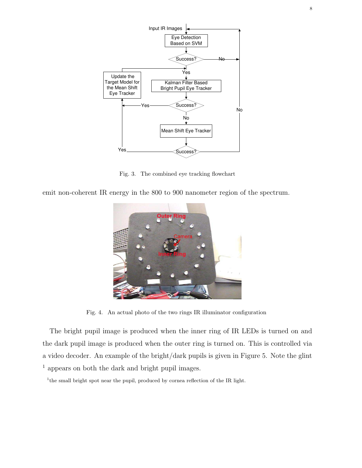

Fig. 3. The combined eye tracking flowchart

emit non-coherent IR energy in the 800 to 900 nanometer region of the spectrum.



Fig. 4. An actual photo of the two rings IR illuminator configuration

The bright pupil image is produced when the inner ring of IR LEDs is turned on and the dark pupil image is produced when the outer ring is turned on. This is controlled via a video decoder. An example of the bright/dark pupils is given in Figure 5. Note the glint <sup>1</sup> appears on both the dark and bright pupil images.

<sup>1</sup>the small bright spot near the pupil, produced by cornea reflection of the IR light.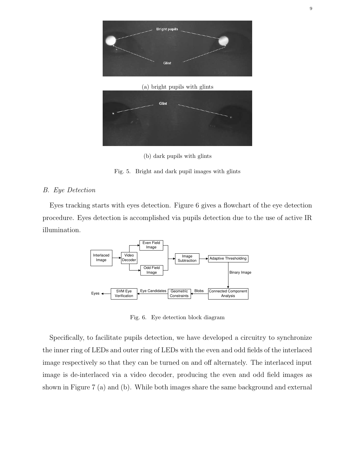



(b) dark pupils with glints

Fig. 5. Bright and dark pupil images with glints

# B. Eye Detection

Eyes tracking starts with eyes detection. Figure 6 gives a flowchart of the eye detection procedure. Eyes detection is accomplished via pupils detection due to the use of active IR illumination.



Fig. 6. Eye detection block diagram

Specifically, to facilitate pupils detection, we have developed a circuitry to synchronize the inner ring of LEDs and outer ring of LEDs with the even and odd fields of the interlaced image respectively so that they can be turned on and off alternately. The interlaced input image is de-interlaced via a video decoder, producing the even and odd field images as shown in Figure 7 (a) and (b). While both images share the same background and external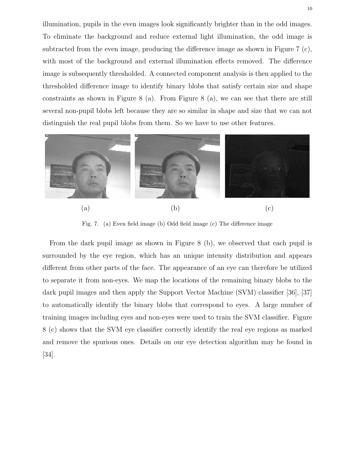illumination, pupils in the even images look significantly brighter than in the odd images. To eliminate the background and reduce external light illumination, the odd image is subtracted from the even image, producing the difference image as shown in Figure 7 (c), with most of the background and external illumination effects removed. The difference image is subsequently thresholded. A connected component analysis is then applied to the thresholded difference image to identify binary blobs that satisfy certain size and shape constraints as shown in Figure 8 (a). From Figure 8 (a), we can see that there are still several non-pupil blobs left because they are so similar in shape and size that we can not distinguish the real pupil blobs from them. So we have to use other features.



Fig. 7. (a) Even field image (b) Odd field image (c) The difference image

From the dark pupil image as shown in Figure 8 (b), we observed that each pupil is surrounded by the eye region, which has an unique intensity distribution and appears different from other parts of the face. The appearance of an eye can therefore be utilized to separate it from non-eyes. We map the locations of the remaining binary blobs to the dark pupil images and then apply the Support Vector Machine (SVM) classifier [36], [37] to automatically identify the binary blobs that correspond to eyes. A large number of training images including eyes and non-eyes were used to train the SVM classifier. Figure 8 (c) shows that the SVM eye classifier correctly identify the real eye regions as marked and remove the spurious ones. Details on our eye detection algorithm may be found in [34].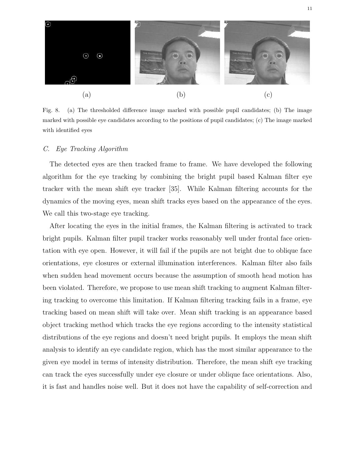

Fig. 8. (a) The thresholded difference image marked with possible pupil candidates; (b) The image marked with possible eye candidates according to the positions of pupil candidates; (c) The image marked with identified eyes

# C. Eye Tracking Algorithm

The detected eyes are then tracked frame to frame. We have developed the following algorithm for the eye tracking by combining the bright pupil based Kalman filter eye tracker with the mean shift eye tracker [35]. While Kalman filtering accounts for the dynamics of the moving eyes, mean shift tracks eyes based on the appearance of the eyes. We call this two-stage eye tracking.

After locating the eyes in the initial frames, the Kalman filtering is activated to track bright pupils. Kalman filter pupil tracker works reasonably well under frontal face orientation with eye open. However, it will fail if the pupils are not bright due to oblique face orientations, eye closures or external illumination interferences. Kalman filter also fails when sudden head movement occurs because the assumption of smooth head motion has been violated. Therefore, we propose to use mean shift tracking to augment Kalman filtering tracking to overcome this limitation. If Kalman filtering tracking fails in a frame, eye tracking based on mean shift will take over. Mean shift tracking is an appearance based object tracking method which tracks the eye regions according to the intensity statistical distributions of the eye regions and doesn't need bright pupils. It employs the mean shift analysis to identify an eye candidate region, which has the most similar appearance to the given eye model in terms of intensity distribution. Therefore, the mean shift eye tracking can track the eyes successfully under eye closure or under oblique face orientations. Also, it is fast and handles noise well. But it does not have the capability of self-correction and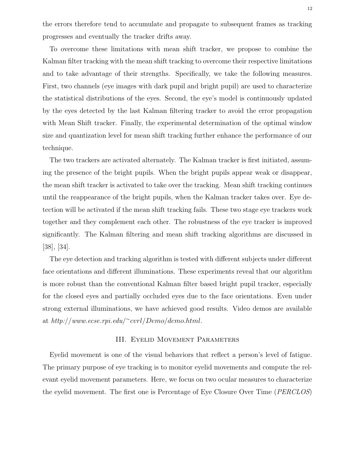the errors therefore tend to accumulate and propagate to subsequent frames as tracking progresses and eventually the tracker drifts away.

To overcome these limitations with mean shift tracker, we propose to combine the Kalman filter tracking with the mean shift tracking to overcome their respective limitations and to take advantage of their strengths. Specifically, we take the following measures. First, two channels (eye images with dark pupil and bright pupil) are used to characterize the statistical distributions of the eyes. Second, the eye's model is continuously updated by the eyes detected by the last Kalman filtering tracker to avoid the error propagation with Mean Shift tracker. Finally, the experimental determination of the optimal window size and quantization level for mean shift tracking further enhance the performance of our technique.

The two trackers are activated alternately. The Kalman tracker is first initiated, assuming the presence of the bright pupils. When the bright pupils appear weak or disappear, the mean shift tracker is activated to take over the tracking. Mean shift tracking continues until the reappearance of the bright pupils, when the Kalman tracker takes over. Eye detection will be activated if the mean shift tracking fails. These two stage eye trackers work together and they complement each other. The robustness of the eye tracker is improved significantly. The Kalman filtering and mean shift tracking algorithms are discussed in [38], [34].

The eye detection and tracking algorithm is tested with different subjects under different face orientations and different illuminations. These experiments reveal that our algorithm is more robust than the conventional Kalman filter based bright pupil tracker, especially for the closed eyes and partially occluded eyes due to the face orientations. Even under strong external illuminations, we have achieved good results. Video demos are available at  $http://www.ecse.rpi.edu/~cvrl/Demo/demo.html$ .

# III. Eyelid Movement Parameters

Eyelid movement is one of the visual behaviors that reflect a person's level of fatigue. The primary purpose of eye tracking is to monitor eyelid movements and compute the relevant eyelid movement parameters. Here, we focus on two ocular measures to characterize the eyelid movement. The first one is Percentage of Eye Closure Over Time (PERCLOS)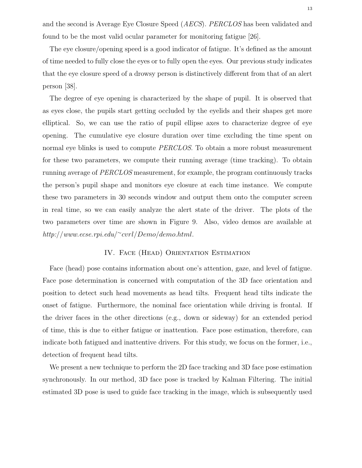and the second is Average Eye Closure Speed (AECS). PERCLOS has been validated and found to be the most valid ocular parameter for monitoring fatigue [26].

The eye closure/opening speed is a good indicator of fatigue. It's defined as the amount of time needed to fully close the eyes or to fully open the eyes. Our previous study indicates that the eye closure speed of a drowsy person is distinctively different from that of an alert person [38].

The degree of eye opening is characterized by the shape of pupil. It is observed that as eyes close, the pupils start getting occluded by the eyelids and their shapes get more elliptical. So, we can use the ratio of pupil ellipse axes to characterize degree of eye opening. The cumulative eye closure duration over time excluding the time spent on normal eye blinks is used to compute *PERCLOS*. To obtain a more robust measurement for these two parameters, we compute their running average (time tracking). To obtain running average of PERCLOS measurement, for example, the program continuously tracks the person's pupil shape and monitors eye closure at each time instance. We compute these two parameters in 30 seconds window and output them onto the computer screen in real time, so we can easily analyze the alert state of the driver. The plots of the two parameters over time are shown in Figure 9. Also, video demos are available at http://www.ecse.rpi.edu/ <sup>∼</sup>cvrl/Demo/demo.html.

# IV. Face (Head) Orientation Estimation

Face (head) pose contains information about one's attention, gaze, and level of fatigue. Face pose determination is concerned with computation of the 3D face orientation and position to detect such head movements as head tilts. Frequent head tilts indicate the onset of fatigue. Furthermore, the nominal face orientation while driving is frontal. If the driver faces in the other directions (e.g., down or sideway) for an extended period of time, this is due to either fatigue or inattention. Face pose estimation, therefore, can indicate both fatigued and inattentive drivers. For this study, we focus on the former, i.e., detection of frequent head tilts.

We present a new technique to perform the 2D face tracking and 3D face pose estimation synchronously. In our method, 3D face pose is tracked by Kalman Filtering. The initial estimated 3D pose is used to guide face tracking in the image, which is subsequently used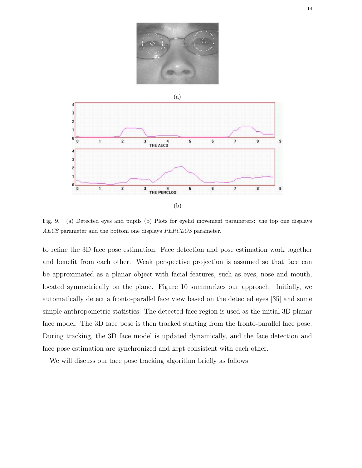



Fig. 9. (a) Detected eyes and pupils (b) Plots for eyelid movement parameters: the top one displays AECS parameter and the bottom one displays PERCLOS parameter.

to refine the 3D face pose estimation. Face detection and pose estimation work together and benefit from each other. Weak perspective projection is assumed so that face can be approximated as a planar object with facial features, such as eyes, nose and mouth, located symmetrically on the plane. Figure 10 summarizes our approach. Initially, we automatically detect a fronto-parallel face view based on the detected eyes [35] and some simple anthropometric statistics. The detected face region is used as the initial 3D planar face model. The 3D face pose is then tracked starting from the fronto-parallel face pose. During tracking, the 3D face model is updated dynamically, and the face detection and face pose estimation are synchronized and kept consistent with each other.

We will discuss our face pose tracking algorithm briefly as follows.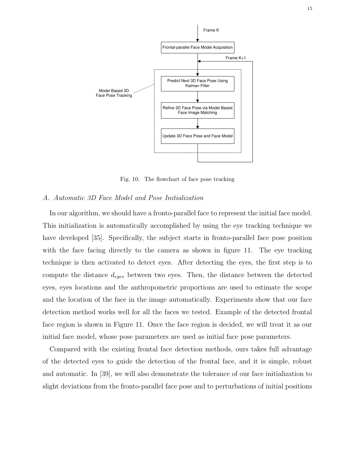

Fig. 10. The flowchart of face pose tracking

#### A. Automatic 3D Face Model and Pose Initialization

In our algorithm, we should have a fronto-parallel face to represent the initial face model. This initialization is automatically accomplished by using the eye tracking technique we have developed [35]. Specifically, the subject starts in fronto-parallel face pose position with the face facing directly to the camera as shown in figure 11. The eye tracking technique is then activated to detect eyes. After detecting the eyes, the first step is to compute the distance  $d_{eyes}$  between two eyes. Then, the distance between the detected eyes, eyes locations and the anthropometric proportions are used to estimate the scope and the location of the face in the image automatically. Experiments show that our face detection method works well for all the faces we tested. Example of the detected frontal face region is shown in Figure 11. Once the face region is decided, we will treat it as our initial face model, whose pose parameters are used as initial face pose parameters.

Compared with the existing frontal face detection methods, ours takes full advantage of the detected eyes to guide the detection of the frontal face, and it is simple, robust and automatic. In [39], we will also demonstrate the tolerance of our face initialization to slight deviations from the fronto-parallel face pose and to perturbations of initial positions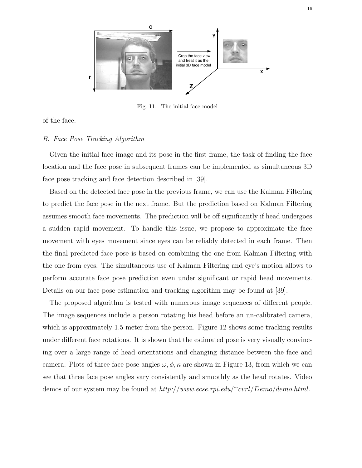

Fig. 11. The initial face model

of the face.

# B. Face Pose Tracking Algorithm

Given the initial face image and its pose in the first frame, the task of finding the face location and the face pose in subsequent frames can be implemented as simultaneous 3D face pose tracking and face detection described in [39].

Based on the detected face pose in the previous frame, we can use the Kalman Filtering to predict the face pose in the next frame. But the prediction based on Kalman Filtering assumes smooth face movements. The prediction will be off significantly if head undergoes a sudden rapid movement. To handle this issue, we propose to approximate the face movement with eyes movement since eyes can be reliably detected in each frame. Then the final predicted face pose is based on combining the one from Kalman Filtering with the one from eyes. The simultaneous use of Kalman Filtering and eye's motion allows to perform accurate face pose prediction even under significant or rapid head movements. Details on our face pose estimation and tracking algorithm may be found at [39].

The proposed algorithm is tested with numerous image sequences of different people. The image sequences include a person rotating his head before an un-calibrated camera, which is approximately 1.5 meter from the person. Figure 12 shows some tracking results under different face rotations. It is shown that the estimated pose is very visually convincing over a large range of head orientations and changing distance between the face and camera. Plots of three face pose angles  $\omega, \phi, \kappa$  are shown in Figure 13, from which we can see that three face pose angles vary consistently and smoothly as the head rotates. Video demos of our system may be found at http://www.ecse.rpi.edu/~cvrl/Demo/demo.html.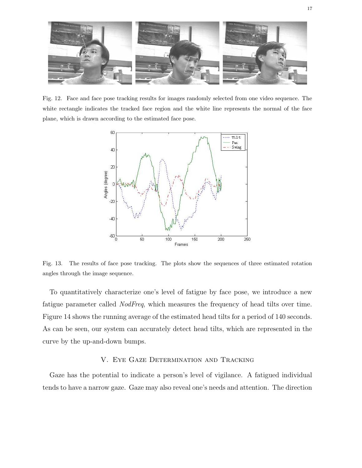

Fig. 12. Face and face pose tracking results for images randomly selected from one video sequence. The white rectangle indicates the tracked face region and the white line represents the normal of the face plane, which is drawn according to the estimated face pose.



Fig. 13. The results of face pose tracking. The plots show the sequences of three estimated rotation angles through the image sequence.

To quantitatively characterize one's level of fatigue by face pose, we introduce a new fatigue parameter called NodFreq, which measures the frequency of head tilts over time. Figure 14 shows the running average of the estimated head tilts for a period of 140 seconds. As can be seen, our system can accurately detect head tilts, which are represented in the curve by the up-and-down bumps.

# V. Eye Gaze Determination and Tracking

Gaze has the potential to indicate a person's level of vigilance. A fatigued individual tends to have a narrow gaze. Gaze may also reveal one's needs and attention. The direction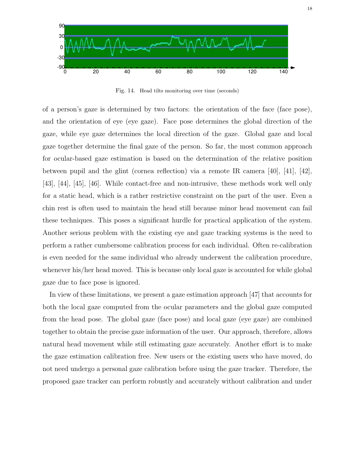

Fig. 14. Head tilts monitoring over time (seconds)

of a person's gaze is determined by two factors: the orientation of the face (face pose), and the orientation of eye (eye gaze). Face pose determines the global direction of the gaze, while eye gaze determines the local direction of the gaze. Global gaze and local gaze together determine the final gaze of the person. So far, the most common approach for ocular-based gaze estimation is based on the determination of the relative position between pupil and the glint (cornea reflection) via a remote IR camera  $[40]$ ,  $[41]$ ,  $[42]$ , [43], [44], [45], [46]. While contact-free and non-intrusive, these methods work well only for a static head, which is a rather restrictive constraint on the part of the user. Even a chin rest is often used to maintain the head still because minor head movement can fail these techniques. This poses a significant hurdle for practical application of the system. Another serious problem with the existing eye and gaze tracking systems is the need to perform a rather cumbersome calibration process for each individual. Often re-calibration is even needed for the same individual who already underwent the calibration procedure, whenever his/her head moved. This is because only local gaze is accounted for while global gaze due to face pose is ignored.

In view of these limitations, we present a gaze estimation approach [47] that accounts for both the local gaze computed from the ocular parameters and the global gaze computed from the head pose. The global gaze (face pose) and local gaze (eye gaze) are combined together to obtain the precise gaze information of the user. Our approach, therefore, allows natural head movement while still estimating gaze accurately. Another effort is to make the gaze estimation calibration free. New users or the existing users who have moved, do not need undergo a personal gaze calibration before using the gaze tracker. Therefore, the proposed gaze tracker can perform robustly and accurately without calibration and under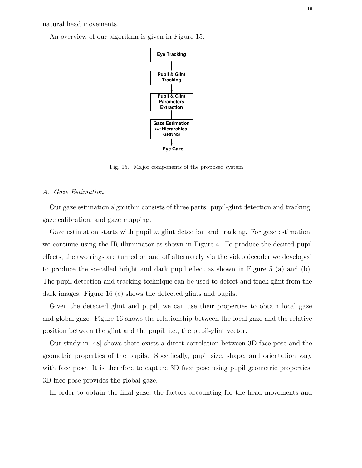natural head movements.

An overview of our algorithm is given in Figure 15.



Fig. 15. Major components of the proposed system

# A. Gaze Estimation

Our gaze estimation algorithm consists of three parts: pupil-glint detection and tracking, gaze calibration, and gaze mapping.

Gaze estimation starts with pupil  $\&$  glint detection and tracking. For gaze estimation, we continue using the IR illuminator as shown in Figure 4. To produce the desired pupil effects, the two rings are turned on and off alternately via the video decoder we developed to produce the so-called bright and dark pupil effect as shown in Figure 5 (a) and (b). The pupil detection and tracking technique can be used to detect and track glint from the dark images. Figure 16 (c) shows the detected glints and pupils.

Given the detected glint and pupil, we can use their properties to obtain local gaze and global gaze. Figure 16 shows the relationship between the local gaze and the relative position between the glint and the pupil, i.e., the pupil-glint vector.

Our study in [48] shows there exists a direct correlation between 3D face pose and the geometric properties of the pupils. Specifically, pupil size, shape, and orientation vary with face pose. It is therefore to capture 3D face pose using pupil geometric properties. 3D face pose provides the global gaze.

In order to obtain the final gaze, the factors accounting for the head movements and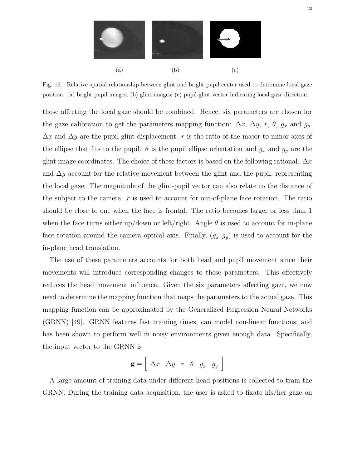

Fig. 16. Relative spatial relationship between glint and bright pupil center used to determine local gaze position. (a) bright pupil images, (b) glint images; (c) pupil-glint vector indicating local gaze direction.

those affecting the local gaze should be combined. Hence, six parameters are chosen for the gaze calibration to get the parameters mapping function:  $\Delta x$ ,  $\Delta y$ , r,  $\theta$ ,  $g_x$  and  $g_y$ .  $\Delta x$  and  $\Delta y$  are the pupil-glint displacement. r is the ratio of the major to minor axes of the ellipse that fits to the pupil.  $\theta$  is the pupil ellipse orientation and  $g_x$  and  $g_y$  are the glint image coordinates. The choice of these factors is based on the following rational.  $\Delta x$ and  $\Delta y$  account for the relative movement between the glint and the pupil, representing the local gaze. The magnitude of the glint-pupil vector can also relate to the distance of the subject to the camera.  $r$  is used to account for out-of-plane face rotation. The ratio should be close to one when the face is frontal. The ratio becomes larger or less than 1 when the face turns either up/down or left/right. Angle  $\theta$  is used to account for in-plane face rotation around the camera optical axis. Finally,  $(g_x, g_y)$  is used to account for the in-plane head translation.

The use of these parameters accounts for both head and pupil movement since their movements will introduce corresponding changes to these parameters. This effectively reduces the head movement influence. Given the six parameters affecting gaze, we now need to determine the mapping function that maps the parameters to the actual gaze. This mapping function can be approximated by the Generalized Regression Neural Networks (GRNN) [49]. GRNN features fast training times, can model non-linear functions, and has been shown to perform well in noisy environments given enough data. Specifically, the input vector to the GRNN is

$$
\mathbf{g} = \left[ \begin{array}{cccc} \Delta x & \Delta y & r & \theta & g_x & g_y \end{array} \right]
$$

A large amount of training data under different head positions is collected to train the GRNN. During the training data acquisition, the user is asked to fixate his/her gaze on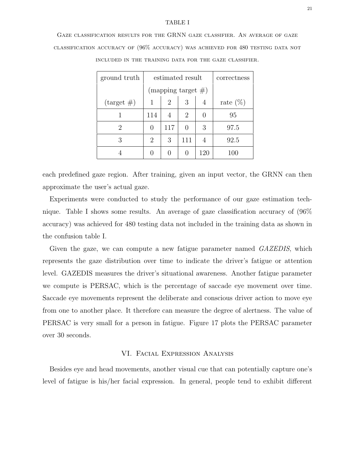#### TABLE I

Gaze classification results for the GRNN gaze classifier. An average of gaze classification accuracy of (96% accuracy) was achieved for 480 testing data not

| ground truth         | estimated result |                       |     |     | correctness |
|----------------------|------------------|-----------------------|-----|-----|-------------|
|                      |                  | (mapping target $#$ ) |     |     |             |
| $\text{(target }\#)$ | 1                | 2                     | 3   | 4   | rate $(\%)$ |
|                      | 114              |                       | 2   |     | 95          |
| 2                    | $\mathcal{O}$    | 117                   |     | 3   | 97.5        |
| 3                    | 2                | 3                     | 111 | 4   | 92.5        |
|                      |                  |                       |     | 120 | 100         |

included in the training data for the gaze classifier.

each predefined gaze region. After training, given an input vector, the GRNN can then approximate the user's actual gaze.

Experiments were conducted to study the performance of our gaze estimation technique. Table I shows some results. An average of gaze classification accuracy of (96% accuracy) was achieved for 480 testing data not included in the training data as shown in the confusion table I.

Given the gaze, we can compute a new fatigue parameter named *GAZEDIS*, which represents the gaze distribution over time to indicate the driver's fatigue or attention level. GAZEDIS measures the driver's situational awareness. Another fatigue parameter we compute is PERSAC, which is the percentage of saccade eye movement over time. Saccade eye movements represent the deliberate and conscious driver action to move eye from one to another place. It therefore can measure the degree of alertness. The value of PERSAC is very small for a person in fatigue. Figure 17 plots the PERSAC parameter over 30 seconds.

#### VI. Facial Expression Analysis

Besides eye and head movements, another visual cue that can potentially capture one's level of fatigue is his/her facial expression. In general, people tend to exhibit different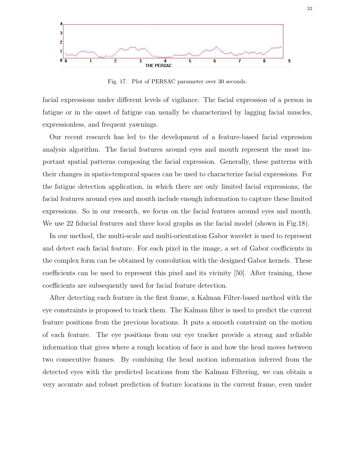

Fig. 17. Plot of PERSAC parameter over 30 seconds.

facial expressions under different levels of vigilance. The facial expression of a person in fatigue or in the onset of fatigue can usually be characterized by lagging facial muscles, expressionless, and frequent yawnings.

Our recent research has led to the development of a feature-based facial expression analysis algorithm. The facial features around eyes and mouth represent the most important spatial patterns composing the facial expression. Generally, these patterns with their changes in spatio-temporal spaces can be used to characterize facial expressions. For the fatigue detection application, in which there are only limited facial expressions, the facial features around eyes and mouth include enough information to capture these limited expressions. So in our research, we focus on the facial features around eyes and mouth. We use 22 fiducial features and three local graphs as the facial model (shown in Fig.18).

In our method, the multi-scale and multi-orientation Gabor wavelet is used to represent and detect each facial feature. For each pixel in the image, a set of Gabor coefficients in the complex form can be obtained by convolution with the designed Gabor kernels. These coefficients can be used to represent this pixel and its vicinity [50]. After training, these coefficients are subsequently used for facial feature detection.

After detecting each feature in the first frame, a Kalman Filter-based method with the eye constraints is proposed to track them. The Kalman filter is used to predict the current feature positions from the previous locations. It puts a smooth constraint on the motion of each feature. The eye positions from our eye tracker provide a strong and reliable information that gives where a rough location of face is and how the head moves between two consecutive frames. By combining the head motion information inferred from the detected eyes with the predicted locations from the Kalman Filtering, we can obtain a very accurate and robust prediction of feature locations in the current frame, even under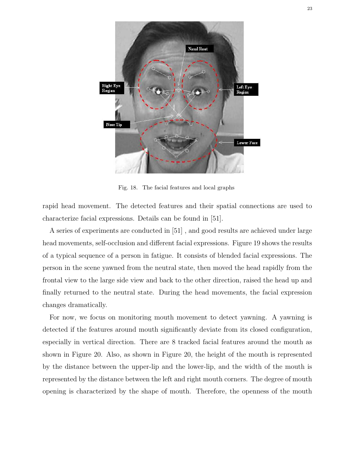

Fig. 18. The facial features and local graphs

rapid head movement. The detected features and their spatial connections are used to characterize facial expressions. Details can be found in [51].

A series of experiments are conducted in [51] , and good results are achieved under large head movements, self-occlusion and different facial expressions. Figure 19 shows the results of a typical sequence of a person in fatigue. It consists of blended facial expressions. The person in the scene yawned from the neutral state, then moved the head rapidly from the frontal view to the large side view and back to the other direction, raised the head up and finally returned to the neutral state. During the head movements, the facial expression changes dramatically.

For now, we focus on monitoring mouth movement to detect yawning. A yawning is detected if the features around mouth significantly deviate from its closed configuration, especially in vertical direction. There are 8 tracked facial features around the mouth as shown in Figure 20. Also, as shown in Figure 20, the height of the mouth is represented by the distance between the upper-lip and the lower-lip, and the width of the mouth is represented by the distance between the left and right mouth corners. The degree of mouth opening is characterized by the shape of mouth. Therefore, the openness of the mouth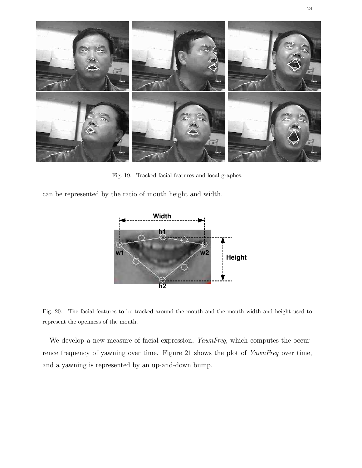

Fig. 19. Tracked facial features and local graphes.

can be represented by the ratio of mouth height and width.



Fig. 20. The facial features to be tracked around the mouth and the mouth width and height used to represent the openness of the mouth.

We develop a new measure of facial expression, YawnFreq, which computes the occurrence frequency of yawning over time. Figure 21 shows the plot of YawnFreq over time, and a yawning is represented by an up-and-down bump.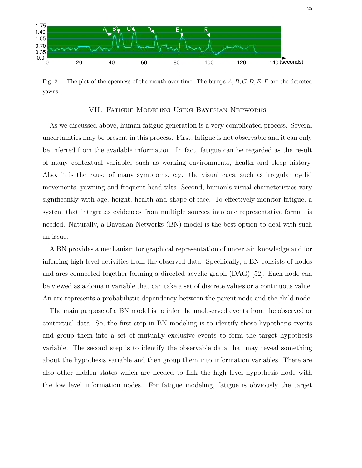

Fig. 21. The plot of the openness of the mouth over time. The bumps  $A, B, C, D, E, F$  are the detected yawns.

# VII. Fatigue Modeling Using Bayesian Networks

As we discussed above, human fatigue generation is a very complicated process. Several uncertainties may be present in this process. First, fatigue is not observable and it can only be inferred from the available information. In fact, fatigue can be regarded as the result of many contextual variables such as working environments, health and sleep history. Also, it is the cause of many symptoms, e.g. the visual cues, such as irregular eyelid movements, yawning and frequent head tilts. Second, human's visual characteristics vary significantly with age, height, health and shape of face. To effectively monitor fatigue, a system that integrates evidences from multiple sources into one representative format is needed. Naturally, a Bayesian Networks (BN) model is the best option to deal with such an issue.

A BN provides a mechanism for graphical representation of uncertain knowledge and for inferring high level activities from the observed data. Specifically, a BN consists of nodes and arcs connected together forming a directed acyclic graph (DAG) [52]. Each node can be viewed as a domain variable that can take a set of discrete values or a continuous value. An arc represents a probabilistic dependency between the parent node and the child node.

The main purpose of a BN model is to infer the unobserved events from the observed or contextual data. So, the first step in BN modeling is to identify those hypothesis events and group them into a set of mutually exclusive events to form the target hypothesis variable. The second step is to identify the observable data that may reveal something about the hypothesis variable and then group them into information variables. There are also other hidden states which are needed to link the high level hypothesis node with the low level information nodes. For fatigue modeling, fatigue is obviously the target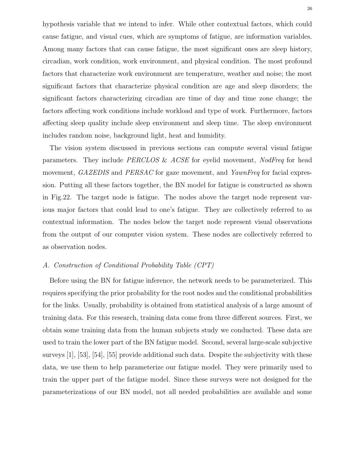hypothesis variable that we intend to infer. While other contextual factors, which could cause fatigue, and visual cues, which are symptoms of fatigue, are information variables. Among many factors that can cause fatigue, the most significant ones are sleep history, circadian, work condition, work environment, and physical condition. The most profound factors that characterize work environment are temperature, weather and noise; the most significant factors that characterize physical condition are age and sleep disorders; the significant factors characterizing circadian are time of day and time zone change; the factors affecting work conditions include workload and type of work. Furthermore, factors affecting sleep quality include sleep environment and sleep time. The sleep environment includes random noise, background light, heat and humidity.

The vision system discussed in previous sections can compute several visual fatigue parameters. They include PERCLOS & ACSE for eyelid movement, NodFreq for head movement, GAZEDIS and PERSAC for gaze movement, and YawnFreq for facial expression. Putting all these factors together, the BN model for fatigue is constructed as shown in Fig.22. The target node is fatigue. The nodes above the target node represent various major factors that could lead to one's fatigue. They are collectively referred to as contextual information. The nodes below the target node represent visual observations from the output of our computer vision system. These nodes are collectively referred to as observation nodes.

# A. Construction of Conditional Probability Table (CPT)

Before using the BN for fatigue inference, the network needs to be parameterized. This requires specifying the prior probability for the root nodes and the conditional probabilities for the links. Usually, probability is obtained from statistical analysis of a large amount of training data. For this research, training data come from three different sources. First, we obtain some training data from the human subjects study we conducted. These data are used to train the lower part of the BN fatigue model. Second, several large-scale subjective surveys [1], [53], [54], [55] provide additional such data. Despite the subjectivity with these data, we use them to help parameterize our fatigue model. They were primarily used to train the upper part of the fatigue model. Since these surveys were not designed for the parameterizations of our BN model, not all needed probabilities are available and some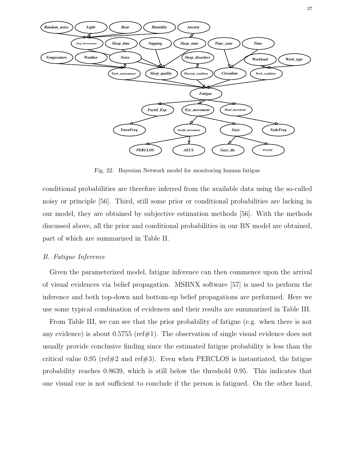

Fig. 22. Bayesian Network model for monitoring human fatigue

conditional probabilities are therefore inferred from the available data using the so-called noisy or principle [56]. Third, still some prior or conditional probabilities are lacking in our model, they are obtained by subjective estimation methods [56]. With the methods discussed above, all the prior and conditional probabilities in our BN model are obtained, part of which are summarized in Table II.

# B. Fatigue Inference

Given the parameterized model, fatigue inference can then commence upon the arrival of visual evidences via belief propagation. MSBNX software [57] is used to perform the inference and both top-down and bottom-up belief propagations are performed. Here we use some typical combination of evidences and their results are summarized in Table III.

From Table III, we can see that the prior probability of fatigue (e.g. when there is not any evidence) is about  $0.5755$  (ref#1). The observation of single visual evidence does not usually provide conclusive finding since the estimated fatigue probability is less than the critical value 0.95 (ref#2 and ref#3). Even when PERCLOS is instantiated, the fatigue probability reaches 0.8639, which is still below the threshold 0.95. This indicates that one visual cue is not sufficient to conclude if the person is fatigued. On the other hand,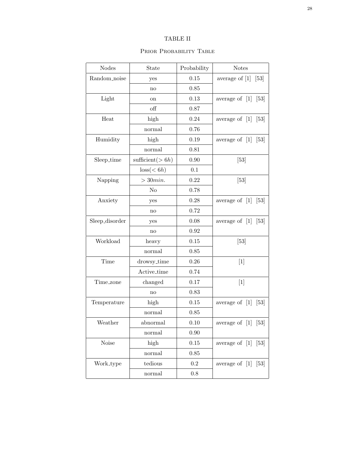# TABLE II

## PRIOR PROBABILITY TABLE

| <b>Nodes</b>   | State                | Probability | <b>Notes</b>                          |  |
|----------------|----------------------|-------------|---------------------------------------|--|
| Random noise   | yes                  | 0.15        | average of $[1]$<br>[53]              |  |
|                | no                   | 0.85        |                                       |  |
| Light<br>on    |                      | 0.13        | average of $[1]$<br>[53]              |  |
|                | off                  | 0.87        |                                       |  |
| Heat           | high                 | 0.24        | average of $[1]$<br>[53]              |  |
|                | normal               | 0.76        |                                       |  |
| Humidity       | high                 | 0.19        | average of $[1]$<br>$\left[53\right]$ |  |
|                | normal               | 0.81        |                                       |  |
| Sleep_time     | sufficient( $> 6h$ ) | 0.90        | $[53]$                                |  |
|                | loss(< 6h)           | 0.1         |                                       |  |
| Napping        | $>30min$ .           | 0.22        | $[53]$                                |  |
|                | N <sub>o</sub>       | 0.78        |                                       |  |
| Anxiety        | yes                  | 0.28        | average of $[1]$<br>[53]              |  |
|                | no                   | 0.72        |                                       |  |
| Sleep_disorder | yes                  | 0.08        | average of $[1]$<br>$\left[53\right]$ |  |
|                | no                   | 0.92        |                                       |  |
| Workload       | heavy                |             | $[53]$                                |  |
|                | normal               | 0.85        |                                       |  |
| Time           | drowsy_time          | 0.26        | $[1]$                                 |  |
|                | Active_time          | 0.74        |                                       |  |
| Time zone      | changed              | 0.17        | $[1]$                                 |  |
|                | no                   | 0.83        |                                       |  |
| Temperature    | high                 | 0.15        | average of $[1]$<br>[53]              |  |
|                | normal               | 0.85        |                                       |  |
| Weather        | abnormal             | 0.10        | average of $[1]$<br>[53]              |  |
|                | normal               | $0.90\,$    |                                       |  |
| Noise          | high                 | $0.15\,$    | average of $[1]$ $[53]$               |  |
|                | normal               | 0.85        |                                       |  |
| Work_type      | tedious              | $\rm 0.2$   | average of $[1]$ $[53]$               |  |
|                | normal               | $0.8\,$     |                                       |  |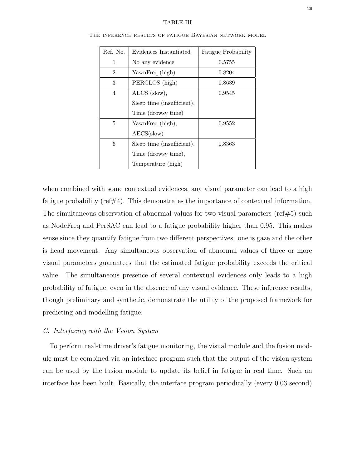#### TABLE III

| Ref. No.       | Evidences Instantiated     | Fatigue Probability |
|----------------|----------------------------|---------------------|
| $\mathbf{1}$   | No any evidence            | 0.5755              |
| $\mathfrak{D}$ | YawnFreq (high)            | 0.8204              |
| 3              | PERCLOS (high)             | 0.8639              |
| 4              | AECS (slow),               | 0.9545              |
|                | Sleep time (insufficient), |                     |
|                | Time (drowsy time)         |                     |
| 5              | YawnFreq (high),           | 0.9552              |
|                | $AECS({slow})$             |                     |
| 6              | Sleep time (insufficient), | 0.8363              |
|                | Time (drowsy time),        |                     |
|                | Temperature (high)         |                     |

The inference results of fatigue Bayesian network model

when combined with some contextual evidences, any visual parameter can lead to a high fatigue probability (ref#4). This demonstrates the importance of contextual information. The simultaneous observation of abnormal values for two visual parameters (ref#5) such as NodeFreq and PerSAC can lead to a fatigue probability higher than 0.95. This makes sense since they quantify fatigue from two different perspectives: one is gaze and the other is head movement. Any simultaneous observation of abnormal values of three or more visual parameters guarantees that the estimated fatigue probability exceeds the critical value. The simultaneous presence of several contextual evidences only leads to a high probability of fatigue, even in the absence of any visual evidence. These inference results, though preliminary and synthetic, demonstrate the utility of the proposed framework for predicting and modelling fatigue.

# C. Interfacing with the Vision System

To perform real-time driver's fatigue monitoring, the visual module and the fusion module must be combined via an interface program such that the output of the vision system can be used by the fusion module to update its belief in fatigue in real time. Such an interface has been built. Basically, the interface program periodically (every 0.03 second)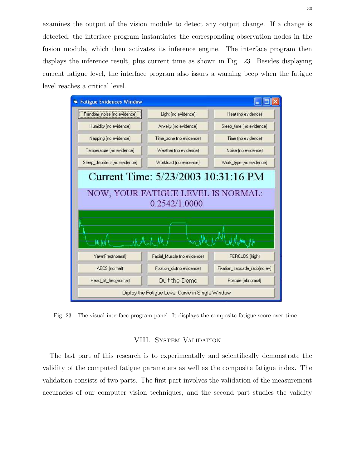examines the output of the vision module to detect any output change. If a change is detected, the interface program instantiates the corresponding observation nodes in the fusion module, which then activates its inference engine. The interface program then displays the inference result, plus current time as shown in Fig. 23. Besides displaying current fatigue level, the interface program also issues a warning beep when the fatigue level reaches a critical level.



Fig. 23. The visual interface program panel. It displays the composite fatigue score over time.

# VIII. System Validation

The last part of this research is to experimentally and scientifically demonstrate the validity of the computed fatigue parameters as well as the composite fatigue index. The validation consists of two parts. The first part involves the validation of the measurement accuracies of our computer vision techniques, and the second part studies the validity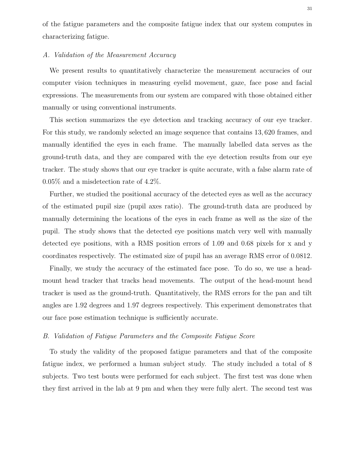of the fatigue parameters and the composite fatigue index that our system computes in characterizing fatigue.

# A. Validation of the Measurement Accuracy

We present results to quantitatively characterize the measurement accuracies of our computer vision techniques in measuring eyelid movement, gaze, face pose and facial expressions. The measurements from our system are compared with those obtained either manually or using conventional instruments.

This section summarizes the eye detection and tracking accuracy of our eye tracker. For this study, we randomly selected an image sequence that contains 13, 620 frames, and manually identified the eyes in each frame. The manually labelled data serves as the ground-truth data, and they are compared with the eye detection results from our eye tracker. The study shows that our eye tracker is quite accurate, with a false alarm rate of 0.05% and a misdetection rate of 4.2%.

Further, we studied the positional accuracy of the detected eyes as well as the accuracy of the estimated pupil size (pupil axes ratio). The ground-truth data are produced by manually determining the locations of the eyes in each frame as well as the size of the pupil. The study shows that the detected eye positions match very well with manually detected eye positions, with a RMS position errors of 1.09 and 0.68 pixels for x and y coordinates respectively. The estimated size of pupil has an average RMS error of 0.0812.

Finally, we study the accuracy of the estimated face pose. To do so, we use a headmount head tracker that tracks head movements. The output of the head-mount head tracker is used as the ground-truth. Quantitatively, the RMS errors for the pan and tilt angles are 1.92 degrees and 1.97 degrees respectively. This experiment demonstrates that our face pose estimation technique is sufficiently accurate.

# B. Validation of Fatigue Parameters and the Composite Fatigue Score

To study the validity of the proposed fatigue parameters and that of the composite fatigue index, we performed a human subject study. The study included a total of 8 subjects. Two test bouts were performed for each subject. The first test was done when they first arrived in the lab at 9 pm and when they were fully alert. The second test was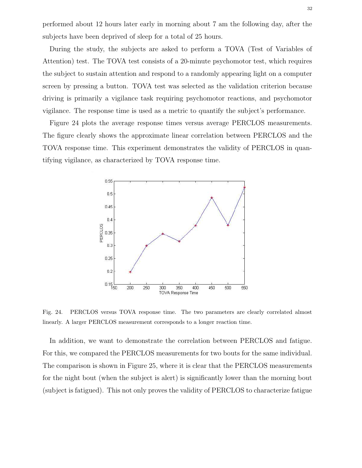performed about 12 hours later early in morning about 7 am the following day, after the subjects have been deprived of sleep for a total of 25 hours.

During the study, the subjects are asked to perform a TOVA (Test of Variables of Attention) test. The TOVA test consists of a 20-minute psychomotor test, which requires the subject to sustain attention and respond to a randomly appearing light on a computer screen by pressing a button. TOVA test was selected as the validation criterion because driving is primarily a vigilance task requiring psychomotor reactions, and psychomotor vigilance. The response time is used as a metric to quantify the subject's performance.

Figure 24 plots the average response times versus average PERCLOS measurements. The figure clearly shows the approximate linear correlation between PERCLOS and the TOVA response time. This experiment demonstrates the validity of PERCLOS in quantifying vigilance, as characterized by TOVA response time.



Fig. 24. PERCLOS versus TOVA response time. The two parameters are clearly correlated almost linearly. A larger PERCLOS measurement corresponds to a longer reaction time.

In addition, we want to demonstrate the correlation between PERCLOS and fatigue. For this, we compared the PERCLOS measurements for two bouts for the same individual. The comparison is shown in Figure 25, where it is clear that the PERCLOS measurements for the night bout (when the subject is alert) is significantly lower than the morning bout (subject is fatigued). This not only proves the validity of PERCLOS to characterize fatigue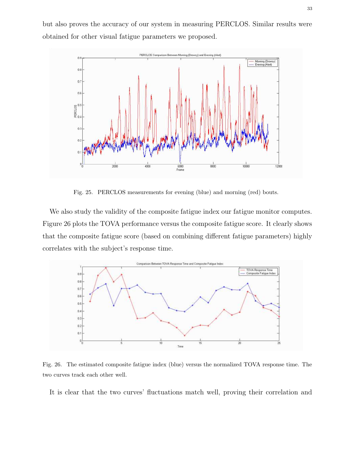but also proves the accuracy of our system in measuring PERCLOS. Similar results were obtained for other visual fatigue parameters we proposed.



Fig. 25. PERCLOS measurements for evening (blue) and morning (red) bouts.

We also study the validity of the composite fatigue index our fatigue monitor computes. Figure 26 plots the TOVA performance versus the composite fatigue score. It clearly shows that the composite fatigue score (based on combining different fatigue parameters) highly correlates with the subject's response time.



Fig. 26. The estimated composite fatigue index (blue) versus the normalized TOVA response time. The two curves track each other well.

It is clear that the two curves' fluctuations match well, proving their correlation and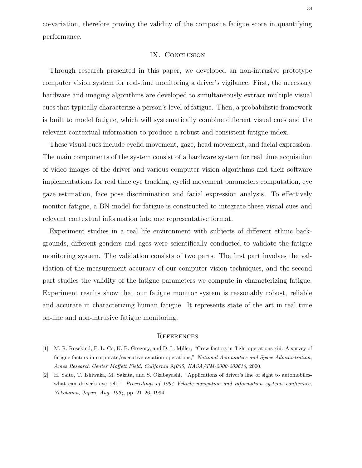co-variation, therefore proving the validity of the composite fatigue score in quantifying performance.

# IX. CONCLUSION

Through research presented in this paper, we developed an non-intrusive prototype computer vision system for real-time monitoring a driver's vigilance. First, the necessary hardware and imaging algorithms are developed to simultaneously extract multiple visual cues that typically characterize a person's level of fatigue. Then, a probabilistic framework is built to model fatigue, which will systematically combine different visual cues and the relevant contextual information to produce a robust and consistent fatigue index.

These visual cues include eyelid movement, gaze, head movement, and facial expression. The main components of the system consist of a hardware system for real time acquisition of video images of the driver and various computer vision algorithms and their software implementations for real time eye tracking, eyelid movement parameters computation, eye gaze estimation, face pose discrimination and facial expression analysis. To effectively monitor fatigue, a BN model for fatigue is constructed to integrate these visual cues and relevant contextual information into one representative format.

Experiment studies in a real life environment with subjects of different ethnic backgrounds, different genders and ages were scientifically conducted to validate the fatigue monitoring system. The validation consists of two parts. The first part involves the validation of the measurement accuracy of our computer vision techniques, and the second part studies the validity of the fatigue parameters we compute in characterizing fatigue. Experiment results show that our fatigue monitor system is reasonably robust, reliable and accurate in characterizing human fatigue. It represents state of the art in real time on-line and non-intrusive fatigue monitoring.

#### **REFERENCES**

- [1] M. R. Rosekind, E. L. Co, K. B. Gregory, and D. L. Miller, "Crew factors in flight operations xiii: A survey of fatigue factors in corporate/executive aviation operations," National Aeronautics and Space Administration, Ames Research Center Moffett Field, California 94035, NASA/TM-2000-209610, 2000.
- [2] H. Saito, T. Ishiwaka, M. Sakata, and S. Okabayashi, "Applications of driver's line of sight to automobileswhat can driver's eye tell," Proceedings of 1994 Vehicle navigation and information systems conference, Yokohama, Japan, Aug. 1994, pp. 21–26, 1994.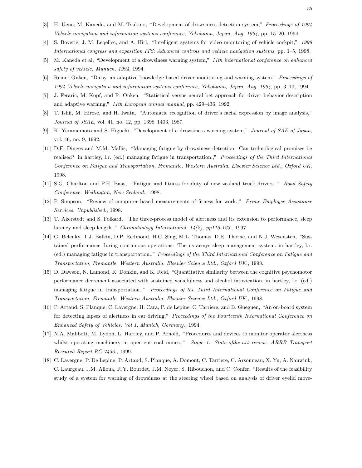- [3] H. Ueno, M. Kaneda, and M. Tsukino, "Development of drowsiness detection system," Proceedings of 1994 Vehicle navigation and information systems conference, Yokohama, Japan, Aug. 1994, pp. 15–20, 1994.
- [4] S. Boverie, J. M. Leqellec, and A. Hirl, "Intelligent systems for video monitoring of vehicle cockpit," 1998 International congress and exposition ITS: Advanced controls and vehicle navigation systems, pp. 1–5, 1998.
- [5] M. Kaneda et al, "Development of a drowsiness warning system," 11th international conference on enhanced safety of vehicle, Munuch, 1994, 1994.
- [6] Reiner Onken, "Daisy, an adaptive knowledge-based driver monitoring and warning system," Proceedings of 1994 Vehicle navigation and information systems conference, Yokohama, Japan, Aug. 1994, pp. 3–10, 1994.
- [7] J. Feraric, M. Kopf, and R. Onken, "Statistical versus neural bet approach for driver behavior description and adaptive warning," 11th European annual manual, pp. 429–436, 1992.
- [8] T. Ishii, M. Hirose, and H. Iwata, "Automatic recognition of driver's facial expression by image analysis," Journal of JSAE, vol. 41, no. 12, pp. 1398–1403, 1987.
- [9] K. Yammamoto and S. Higuchi, "Development of a drowsiness warning system," Journal of SAE of Japan, vol. 46, no. 9, 1992.
- [10] D.F. Dinges and M.M. Mallis, "Managing fatigue by drowsiness detection: Can technological promises be realised? in hartley, l.r. (ed.) managing fatigue in transportation.," Proceedings of the Third International Conference on Fatigue and Transportation, Fremantle, Western Australia. Elsevier Science Ltd., Oxford UK, 1998.
- [11] S.G. Charlton and P.H. Baas, "Fatigue and fitness for duty of new zealand truck drivers.," Road Safety Conference, Wellington, New Zealand., 1998.
- [12] P. Simpson, "Review of computer based measurements of fitness for work.," Prime Employee Assistance Services. Unpublished., 1998.
- [13] T. Akerstedt and S. Folkard, "The three-process model of alertness and its extension to performance, sleep latency and sleep length.," Chronobiology International. 14(2), pp115-123., 1997.
- [14] G. Belenky, T.J. Balkin, D.P. Redmond, H.C. Sing, M.L. Thomas, D.R. Thorne, and N.J. Wesensten, "Sustained performance during continuous operations: The us armys sleep management system. in hartley, l.r. (ed.) managing fatigue in transportation.," Proceedings of the Third International Conference on Fatigue and Transportation, Fremantle, Western Australia. Elsevier Science Ltd., Oxford UK., 1998.
- [15] D. Dawson, N. Lamond, K. Donkin, and K. Reid, "Quantitative similarity between the cognitive psychomotor performance decrement associated with sustained wakefulness and alcohol intoxication. in hartley, l.r. (ed.) managing fatigue in transportation.," Proceedings of the Third International Conference on Fatigue and Transportation, Fremantle, Western Australia. Elsevier Science Ltd., Oxford UK., 1998.
- [16] P. Artaud, S. Planque, C. Lavergne, H. Cara, P. de Lepine, C. Tarriere, and B. Gueguen, "An on-board system for detecting lapses of alertness in car driving," Proceedings of the Fourteenth International Conference on Enhanced Safety of Vehicles, Vol 1, Munich, Germany., 1994.
- [17] N.A. Mabbott, M. Lydon, L. Hartley, and P. Arnold, "Procedures and devices to monitor operator alertness whilst operating machinery in open-cut coal mines.," Stage 1: State-ofthe-art review. ARRB Transport Research Report RC 7433., 1999.
- [18] C. Lavergne, P. De Lepine, P. Artaud, S. Planque, A. Domont, C. Tarriere, C. Arsonneau, X. Yu, A. Nauwink, C. Laurgeau, J.M. Alloua, R.Y. Bourdet, J.M. Noyer, S. Ribouchon, and C. Confer, "Results of the feasibility study of a system for warning of drowsiness at the steering wheel based on analysis of driver eyelid move-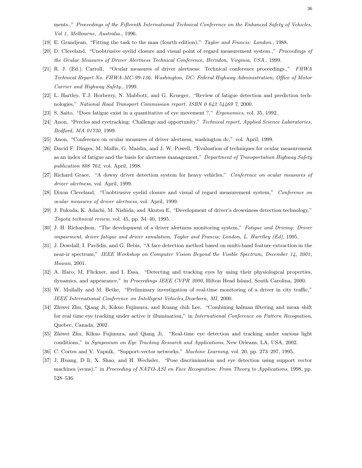ments.," Proceedings of the Fifteenth International Technical Conference on the Enhanced Safety of Vehicles, Vol 1, Melbourne, Australia., 1996.

- [19] E. Grandjean, "Fitting the task to the man (fourth edition)," Taylor and Francis: London., 1988.
- [20] D. Cleveland, "Unobtrusive eyelid closure and visual point of regard measurement system.," Proceedings of the Ocular Measures of Driver Alertness Technical Conference, Herndon, Virginia, USA., 1999.
- [21] R. J. (Ed.). Carroll, "Ocular measures of driver alertness: Technical conference proceedings.," FHWA Technical Report No. FHWA-MC-99-136. Washington, DC: Federal Highway Administration, Office of Motor Carrier and Highway Safety., 1999.
- [22] L. Hartley, T.J. Horberry, N. Mabbott, and G. Krueger, "Review of fatigue detection and prediction technologies," National Road Transport Commission report. ISBN 0 642 54469 7, 2000.
- [23] S. Saito, "Does fatigue exist in a quantitative of eye movement ?," Ergonomics, vol. 35, 1992.
- [24] Anon, "Perclos and eyetracking: Challenge and opportunity," Technical report, Applied Science Laboratories, Bedford, MA 01730, 1999.
- [25] Anon, "Conference on ocular measures of driver alertness, washington dc," vol. April, 1999.
- [26] David F. Dinges, M. Mallis, G. Maislin, and J. W. Powell, "Evaluation of techniques for ocular measurement as an index of fatigue and the basis for alertness management," Department of Transportation Highway Safety publication 808 762, vol. April, 1998.
- [27] Richard Grace, "A dowsy driver detection system for heavy vehicles," Conference on ocular measures of driver alertness, vol. April, 1999.
- [28] Dixon Cleveland, "Unobtrusive eyelid closure and visual of regard measurement system," Conference on ocular measures of driver alertness, vol. April, 1999.
- [29] J. Fukuda, K. Adachi, M. Nishida, and Akutsu E, "Development of driver's drowsiness detection technology," Toyota technical review, vol. 45, pp. 34–40, 1995.
- [30] J. H. Richardson, "The development of a driver alertness monitoring system," Fatigue and Driving: Driver impairment, driver fatigue and driver simulation, Taylor and Francis; London, L. Harrtley (Ed), 1995.
- [31] J. Dowdall, I. Pavlidis, and G. Bebis, "A face detection method based on multi-band feature extraction in the near-ir spectrum," IEEE Workshop on Computer Vision Beyond the Visible Spectrum, December 14, 2001, Hawaii, 2001.
- [32] A. Haro, M. Flickner, and I. Essa, "Detecting and tracking eyes by using their physiological properties, dynamics, and appearance," in *Proceedings IEEE CVPR 2000*, Hilton Head Island, South Carolina, 2000.
- [33] W. Mullally and M. Betke, "Preliminary investigation of real-time monitoring of a driver in city traffic," IEEE International Conference on Intelligent Vehicles,Dearborn, MI, 2000.
- [34] Zhiwei Zhu, Qiang Ji, Kikuo Fujimura, and Kuang chih Lee, "Combining kalman filtering and mean shift for real time eye tracking under active ir illumination," in International Conference on Pattern Recognition, Quebec, Canada, 2002.
- [35] Zhiwei Zhu, Kikuo Fujimura, and Qiang Ji, "Real-time eye detection and tracking under various light conditions," in Symposium on Eye Tracking Research and Applications, New Orleans, LA, USA, 2002.
- [36] C. Cortes and V. Vapnik, "Support-vector networks," Machine Learning, vol. 20, pp. 273–297, 1995.
- [37] J. Huang, D Ii, X. Shao, and H. Wechsler, "Pose discrimination and eye detection using support vector machines (svms)," in Proceeding of NATO-ASI on Face Recognition: From Theory to Applications, 1998, pp. 528–536.